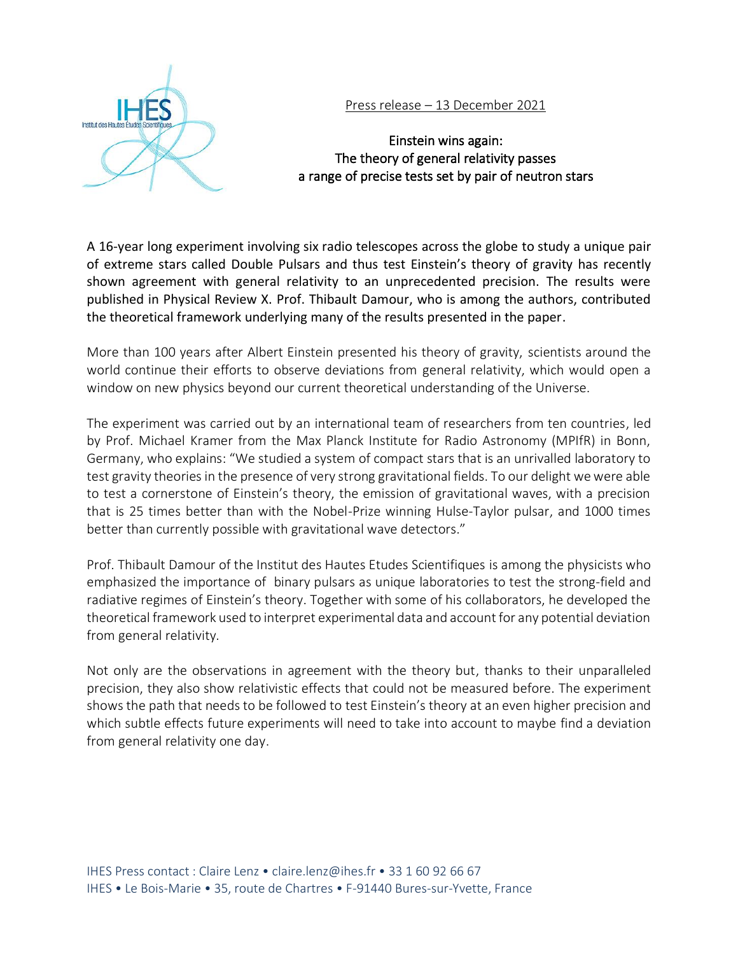

# Press release – 13 December 2021

# Einstein wins again: The theory of general relativity passes a range of precise tests set by pair of neutron stars

A 16-year long experiment involving six radio telescopes across the globe to study a unique pair of extreme stars called Double Pulsars and thus test Einstein's theory of gravity has recently shown agreement with general relativity to an unprecedented precision. The results were published in Physical Review X. Prof. Thibault Damour, who is among the authors, contributed the theoretical framework underlying many of the results presented in the paper.

More than 100 years after Albert Einstein presented his theory of gravity, scientists around the world continue their efforts to observe deviations from general relativity, which would open a window on new physics beyond our current theoretical understanding of the Universe.

The experiment was carried out by an international team of researchers from ten countries, led by Prof. Michael Kramer from the Max Planck Institute for Radio Astronomy (MPIfR) in Bonn, Germany, who explains: "We studied a system of compact stars that is an unrivalled laboratory to test gravity theories in the presence of very strong gravitational fields. To our delight we were able to test a cornerstone of Einstein's theory, the emission of gravitational waves, with a precision that is 25 times better than with the Nobel-Prize winning Hulse-Taylor pulsar, and 1000 times better than currently possible with gravitational wave detectors."

Prof. Thibault Damour of the Institut des Hautes Etudes Scientifiques is among the physicists who emphasized the importance of binary pulsars as unique laboratories to test the strong-field and radiative regimes of Einstein's theory. Together with some of his collaborators, he developed the theoretical framework used to interpret experimental data and account for any potential deviation from general relativity.

Not only are the observations in agreement with the theory but, thanks to their unparalleled precision, they also show relativistic effects that could not be measured before. The experiment shows the path that needs to be followed to test Einstein's theory at an even higher precision and which subtle effects future experiments will need to take into account to maybe find a deviation from general relativity one day.